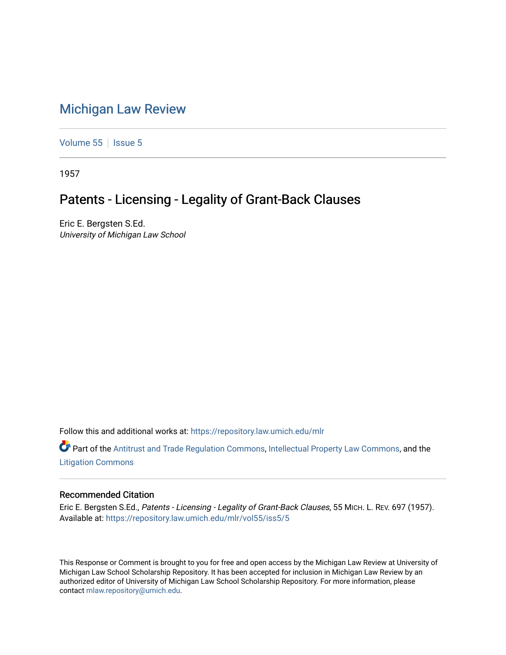## [Michigan Law Review](https://repository.law.umich.edu/mlr)

[Volume 55](https://repository.law.umich.edu/mlr/vol55) | [Issue 5](https://repository.law.umich.edu/mlr/vol55/iss5)

1957

# Patents - Licensing - Legality of Grant-Back Clauses

Eric E. Bergsten S.Ed. University of Michigan Law School

Follow this and additional works at: [https://repository.law.umich.edu/mlr](https://repository.law.umich.edu/mlr?utm_source=repository.law.umich.edu%2Fmlr%2Fvol55%2Fiss5%2F5&utm_medium=PDF&utm_campaign=PDFCoverPages) 

Part of the [Antitrust and Trade Regulation Commons,](http://network.bepress.com/hgg/discipline/911?utm_source=repository.law.umich.edu%2Fmlr%2Fvol55%2Fiss5%2F5&utm_medium=PDF&utm_campaign=PDFCoverPages) [Intellectual Property Law Commons,](http://network.bepress.com/hgg/discipline/896?utm_source=repository.law.umich.edu%2Fmlr%2Fvol55%2Fiss5%2F5&utm_medium=PDF&utm_campaign=PDFCoverPages) and the [Litigation Commons](http://network.bepress.com/hgg/discipline/910?utm_source=repository.law.umich.edu%2Fmlr%2Fvol55%2Fiss5%2F5&utm_medium=PDF&utm_campaign=PDFCoverPages) 

## Recommended Citation

Eric E. Bergsten S.Ed., Patents - Licensing - Legality of Grant-Back Clauses, 55 MICH. L. REV. 697 (1957). Available at: [https://repository.law.umich.edu/mlr/vol55/iss5/5](https://repository.law.umich.edu/mlr/vol55/iss5/5?utm_source=repository.law.umich.edu%2Fmlr%2Fvol55%2Fiss5%2F5&utm_medium=PDF&utm_campaign=PDFCoverPages)

This Response or Comment is brought to you for free and open access by the Michigan Law Review at University of Michigan Law School Scholarship Repository. It has been accepted for inclusion in Michigan Law Review by an authorized editor of University of Michigan Law School Scholarship Repository. For more information, please contact [mlaw.repository@umich.edu](mailto:mlaw.repository@umich.edu).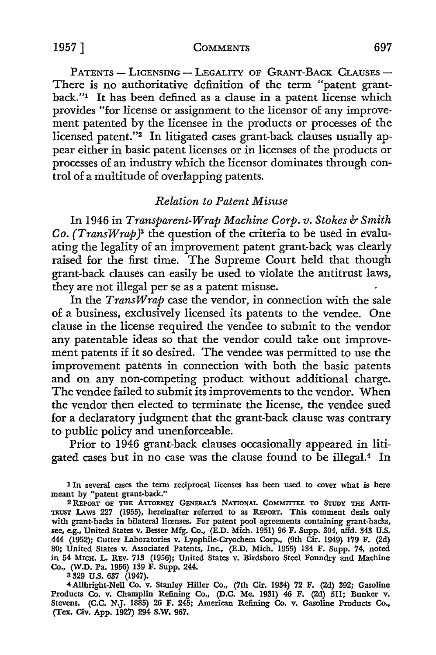PATENTS - LICENSING - LEGALITY OF GRANT-BACK CLAUSES -There is no authoritative definition of the term "patent grantback."1 It has been defined as a clause in a patent license which provides "for license or assignment to the licensor of any improvement patented by the licensee in the products or processes of the licensed patent."<sup>2</sup> In litigated cases grant-back clauses usually appear either in basic patent licenses or in licenses of the products or processes of an industry which the licensor dominates through control of a multitude of overlapping patents.

## *Relation to Patent Misuse*

In 1946 in *Transparent-Wrap Machine Corp. v. Stokes & Smith Co. (TransWrap)*<sup>3</sup> the question of the criteria to be used in evaluating the legality of an improvement patent grant-back was clearly raised for the first time. The Supreme Court held that though grant-back clauses can easily be used to violate the antitrust laws, they are not illegal per se as a patent misuse.

In the *TransWrap* case the vendor, in connection with the sale of a business, exclusively licensed its patents to the vendee. One clause in the license required the vendee to submit to the vendor any patentable ideas so that the vendor could take out improvement patents if it so desired. The vendee was permitted to use the improvement patents in connection with both the basic patents and on any non-competing product without additional charge. The vendee failed to submit its improvements to the vendor. When the vendor then elected to terminate the license, the vendee sued for a declaratory judgment that the grant-back clause was contrary to public policy and unenforceable.

Prior to 1946 grant-back clauses occasionally appeared in litigated cases but in no case was the clause found to be illegal.4 In

1 In several cases the term reciprocal licenses has been used to cover what is here meant by "patent grant-back."

2 REPORT OF THE ATTORNEY GENERAL'S NATIONAL COMMITTEE TO STUDY THE ANTI-TRUST LAws 227 (1955), hereinafter referred to as REPORT. This comment deals only with grant-backs in bilateral licenses. For patent pool agreements containing grant-backs, see, e.g., United States v. Besser Mfg. Co., (E.D. Mich. 1951) 96 F. Supp. 304, affd. 343 U.S. 444 (1952); Cutter Laboratories v. Lyophile-Cryochem Corp., (9th Cir. 1949) 179 F. (2d) 80; United States v. Associated Patents, Inc., (E.D. Mich. 1955) 134 F. Supp. 74, noted in 54 MICH. L. REv. 713 (1956); United States v. Birdsboro Steel Foundry and Machine Co., (W.D. Pa. 1956) 139 F. Supp. 244.

3 329 U.S. 637 (1947).

4Allbright-Nell Co. v. Stanley Hiller Co., (7th Cir. 1934) 72 F. (2d) 392; Gasoline Products Co. v. Champlin Refining Co., (D.C. Me. 1931) 46 F. (2d) 511; Bunker v. Stevens. (C.C. N.J. 1885) 26 F. 245; American Refining Co. v. Gasoline Products Co., (Tex. Civ. App. 1927} 294 S.W. 967.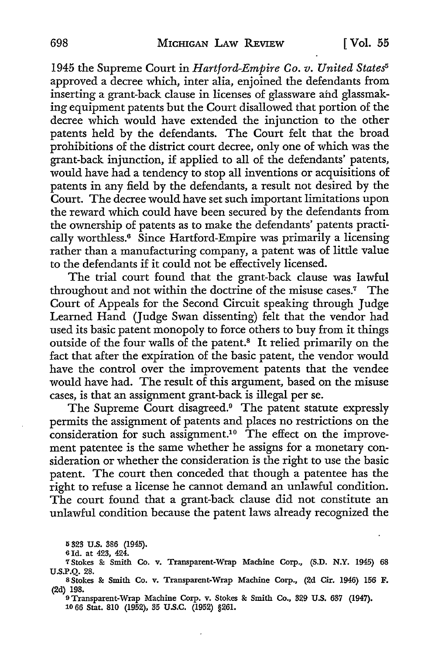1945 the Supreme Court in *Hartford-Empire Co. v. United States5*  approved a decree which, inter alia, enjoined the defendants from inserting a grant-back clause in licenses of glassware and glassmaking equipment patents but the Court disallowed that portion of the decree which would have extended the injunction to the other patents held by the defendants. The Court felt that the broad prohibitions of the district court decree, only one of which was the grant-back injunction, if applied to all of the defendants' patents, would have had a tendency to stop all inventions or acquisitions of patents in any field by the defendants, a result not desired by the Court. The decree would have set such important limitations upon the reward which could have been secured by the defendants from the ownership of patents as to make the defendants' patents practically worthless.6 Since Hartford-Empire was primarily a licensing rather than a manufacturing company, a patent was of little value to the defendants if it could not be effectively licensed.

The trial court found that the grant-back clause was lawful throughout and not within the doctrine of the misuse cases.7 The Court of Appeals for the Second Circuit speaking through Judge Learned Hand (Judge Swan dissenting) felt that the vendor had used its basic patent monopoly to force others to buy from it things outside of the four walls of the patent.8 It relied primarily on the fact that after the expiration of the basic patent, the vendor would have the control over the improvement patents that the vendee would have had. The result of this argument, based on the misuse cases, is that an assignment grant-back is illegal per se.

The Supreme Court disagreed.9 The patent statute expressly permits the assignment of patents and places no restrictions on the consideration for such assignment.<sup>10</sup> The effect on the improvement patentee is the same whether he assigns for a monetary consideration or whether the consideration is the right to use the basic patent. The court then conceded that though a patentee has the right to refuse a license he cannot demand an unlawful condition. The court found that a grant-back clause did not constitute an unlawful condition because the patent laws already recognized the

<sup>15 323</sup> U.S. 386 (1945).

<sup>6</sup>Id. at 423, 424.

<sup>7</sup> Stokes & Smith Co. v. Transparent-Wrap Machine Corp., (S.D. N.Y. 1945) 68 U.S.P.Q. 28.

s Stokes & Smith Co. v. Transparent-Wrap Machine Corp., (2d Cir. 1946) 156 F. (2d) 198.

<sup>9</sup>Transparent-Wrap Machine Corp. v. Stokes & Smith Co., 329 U.S. 637 (1947). 10 66 Stat. 810 (1952), 35 U.S.C. (1952) §261.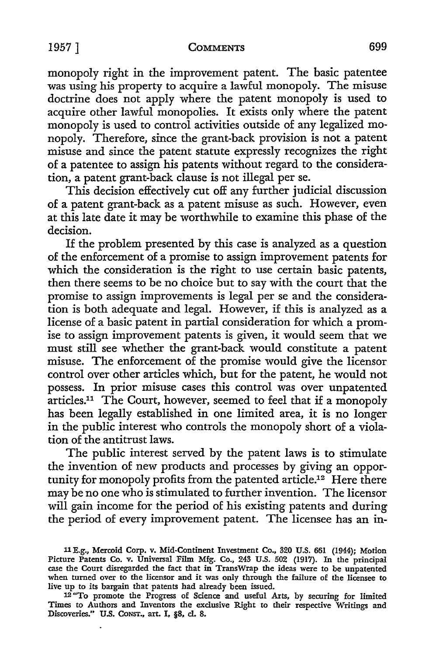monopoly right in the improvement patent. The basic patentee was using his property to acquire a lawful monopoly. The misuse doctrine does not apply where the patent monopoly is used to acquire other lawful monopolies. It exists only where the patent monopoly is used to control activities outside of any legalized monopoly. Therefore, since the grant-back provision is not a patent misuse and since the patent statute expressly recognizes the right of a patentee to assign his patents without regard to the consideration, a patent grant-back clause is not illegal per se.

This decision effectively cut off any further judicial discussion of a patent grant-back as a patent misuse as such. However, even at this late date it may be worthwhile to examine this phase of the decision.

If the problem presented by this case is analyzed as a question of the enforcement of a promise to assign improvement patents for which the consideration is the right to use certain basic patents, then there seems to be no choice but to say with the court that the promise to assign improvements is legal per se and the consideration is both adequate and legal. However, if this is analyzed as a license of a basic patent in partial consideration for which a promise to assign improvement patents is given, it would seem that we must still see whether the grant-back would constitute a patent misuse. The enforcement of the promise would give the licensor control over other articles which, but for the patent, he would not possess. In prior misuse cases this control was over unpatented articles.<sup>11</sup> The Court, however, seemed to feel that if a monopoly has been legally established in one limited area, it is no longer in the public interest who controls the monopoly short of a violation of the antitrust laws.

The public interest served by the patent laws is to stimulate the invention of new products and processes by giving an opportunity for monopoly profits from the patented article.<sup>12</sup> Here there may be no one who is stimulated to further invention. The licensor will gain income for the period of his existing patents and during the period of every improvement patent. The licensee has an in-

11 E.g., Mercoid Corp. v. Mid-Continent Investment Co., 320 U.S. 661 (1944); Motion Picture Patents Co. v. Universal Film Mfg. Co., 243 U.S. 502 (1917). In the principal case the Court disregarded the fact that in TransWrap the ideas were to be unpatented when turned over to the licensor and it was only through the failure of the licensee to live up to its bargain that patents had already been issued.

12 "To promote the Progress of Science and useful Arts, by securing for limited Times to Authors and Inventors the exclusive Right to their respective Writings and Discoveries." U.S. CoNsr., art. I, §8, cl. 8.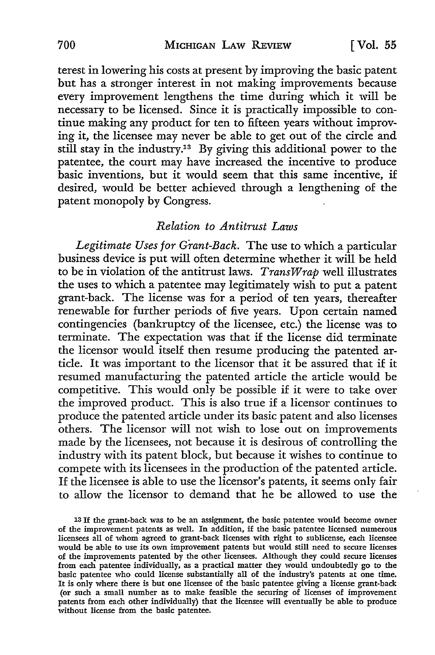terest in lowering his costs at present by improving the basic patent but has a stronger interest in not making improvements because every improvement lengthens the time during which it will be necessary to be licensed. Since it is practically impossible to continue making any product for ten to fifteen years without improving it, the licensee may never be able to get out of the circle and still stay in the industry.13 By giving this additional power to the patentee, the court may have increased the incentive to produce basic inventions, but it would seem that this same incentive, if desired, would be better achieved through a lengthening of the patent monopoly by Congress.

## *Relation to Antitrust Laws*

*Legitimate Uses for Grant-Back.* The use to which a particular business device is put will often determine whether it will be held to be in violation of the antitrust laws. *Trans Wrap* well illustrates the uses to which a patentee may legitimately wish to put a patent grant-back. The license was for a period of ten years, thereafter renewable for further periods of five years. Upon certain named contingencies (bankruptcy of the licensee, etc.) the license was to terminate. The expectation was that if the license did terminate the licensor would itself then resume producing the patented article. It was important to the licensor that it be assured that if it resumed manufacturing the patented article the article would be competitive. This would only be possible if it were to take over the improved product. This is also true if a licensor continues to produce the patented article under its basic patent and also licenses others. The licensor will not wish to lose out on improvements made by the licensees, not because it is desirous of controlling the industry with its patent block, but because it wishes to continue to compete with its licensees in the production of the patented article. If the licensee is able to use the licensor's patents, it seems only fair to allow the licensor to demand that he be allowed to use the

<sup>13</sup> If the grant-back was to be an assignment, the basic patentee would become owner of the improvement patents as well. In addition, if the basic patentee licensed numerous licensees all of whom agreed to grant-back licenses with right to sublicense, each licensee would be able to use its own improvement patents but would still need to secure licenses of the improvements patented by the other licensees. Although they could secure licenses from each patentee individually, as a practical matter they would undoubtedly go to the basic patentee who could license substantially all of the industry's patents at one time. It is only where there is but one licensee of the basic patentee giving a license grant-back (or such a small number as to make feasible the securing of licenses of improvement patents from each other individually) that the licensee will eventually be able to produce without license from the basic patentee.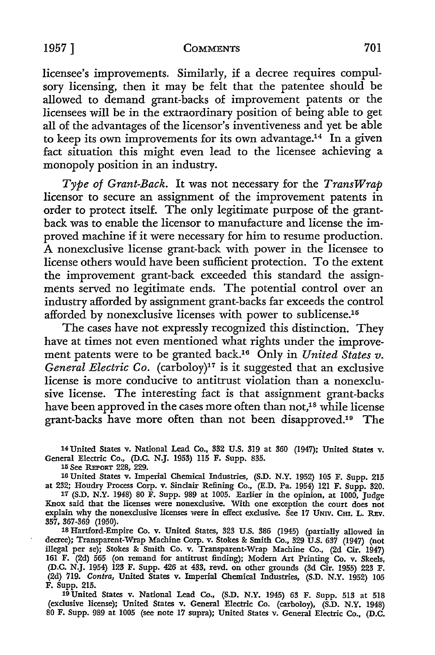licensee's improvements. Similarly, if a decree requires compulsory licensing, then it may be felt that the patentee should be allowed to demand grant-backs of improvement patents or the licensees will be in the extraordinary position of being able to get all of the advantages of the licensor's inventiveness and yet be able to keep its own improvements for its own advantage.<sup>14</sup> In a given fact situation this might even lead to the licensee achieving a monopoly position in an industry.

*Type of Grant-Back.* It was not necessary for the *TransWrap*  licensor to secure an assignment of the improvement patents in order to protect itself. The only legitimate purpose of the grantback was to enable the licensor to manufacture and license the improved machine if it were necessary for him to resume production. A nonexclusive license grant-back with power in the licensee to license others would have been sufficient protection. To the extent the improvement grant-back exceeded this standard the assignments served no legitimate ends. The potential control over an industry afforded by assignment grant-backs far exceeds the control afforded by nonexclusive licenses with power to sublicense.<sup>15</sup>

The cases have not expressly recognized this distinction. They have at times not even mentioned what rights under the improvement patents were to be granted back.<sup>16</sup> Only in *United States v. General Electric Co.* (carboloy)<sup>17</sup> is it suggested that an exclusive license is more conducive to antitrust violation than a nonexclusive license. The interesting fact is that assignment grant-backs have been approved in the cases more often than not,<sup>18</sup> while license grant-backs have more often than not been disapproved.19 The

14 United States v. National Lead Co., 332 U.S. 319 at 360 (1947); United States v. General Electric Co., (D.C. N.J. 1953) 115 F. Supp. 835.

15 See REPORT 228, 229.

16 United States v. Imperial Chemical Industries, (S.D. N.Y. 1952) 105 F. Supp. 215 at 232; Houdry Process Corp. v. Sinclair Refining Co., (E.D. Pa. 1954) 121 F. Supp. 320.

17 (S.D. N.Y. 1948) 80 F. Supp. 989 at 1005. Earlier in the opinion, at 1000, Judge Knox said that the licenses were nonexclusive. With one exception the court does not explain why the nonexclusive licenses were in effect exclusive. See 17 UNIV. CHI, L. REV. 357, 367-369 (1950).

18 Hartford-Empire Co. v. United States, 323 U.S. 386 (1945) (partially allowed in decree); Transparent-Wrap Machine Corp. v. Stokes &: Smith Co., 329 U.S. 637 (1947) (not illegal per se); Stokes &: Smith Co. v. Transparent-Wrap Machine Co., (2d Cir. 1947) 161 F. (2d) 565 (on remand for antitrust finding); Modern Art Printing Co. v. Skeels, (D.C. N.J. 1954) 123 F. Supp. 426 at 433, revd. on other grounds (3d Cir. 1955) 223 F. (2d) 719. *Contra,* United States v. Imperial Chemical Industries, (S.D. N.Y. 1952) 105 F. Supp. 215.

19 United States v. National Lead Co., (S.D. N.Y. 1945) 63 F. Supp. 513 at 518 (exclusive license); United States v. General Electric Co. (carboloy), (S.D. N.Y. 1948) 80 F. Supp. 989 at 1005 (see note 17 supra); United States v. General Electric Co., (D.C.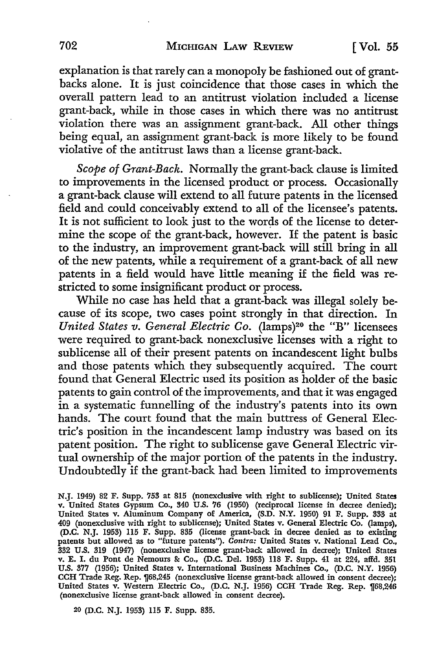explanation is that rarely can a monopoly be fashioned out of grantbacks alone. It is just coincidence that those cases in which the overall pattern lead to an antitrust violation included a license grant-back, while in those cases in which there was no antitrust violation there was an assignment grant-back. All other things being equal, an assignment grant-back is more likely to be found violative of the antitrust laws than a license grant-back.

*Scope of Grant-Back.* Normally the grant-back clause is limited to improvements in the licensed product or process. Occasionally a grant-back clause will extend to all future patents in the licensed field and could conceivably extend to all of the licensee's patents. It is not sufficient to look just to the words of the license to determine the scope of the grant-back, however. If the patent is basic to the industry, an improvement grant-back will still bring in all of the new patents, while a requirement of a grant-back of all new patents in a field would have little meaning if the field was restricted to some insignificant product or process.

While no case has held that a grant-back was illegal solely because of its scope, two cases point strongly in that direction. In *United States v. General Electric Co.* (lamps)<sup>20</sup> the "B" licensees were required to grant-back nonexclusive licenses with a right to sublicense all of their present patents on incandescent light bulbs and those patents which they subsequently acquired. The court found that General Electric used its position as holder of the basic patents to gain control of the improvements, and that it was engaged in a systematic funnelling of the industry's patents into its own hands. The court found that the main buttress of General Electric's position in the incandescent lamp industry was based on its patent position. The right to sublicense gave General Electric virtual ownership of the major portion of the patents in the industry. Undoubtedly if the grant-back had been limited to improvements

20 (D.C. N.J. 1953) 115 F. Supp. 835.

N.J. 1949) 82 F. Supp. 753 at 815 (nonexclusive with right to sublicense); United States v. United States Gypsum Co., 340 U.S. 76 (1950) (reciprocal license in decree denied); United States v. Aluminum Company of America, (S.D. N.Y. 1950) 91 F. Supp. 333 at 409 (nonexclusive with right to sublicense); United States v. General Electric Co. (lamps), (D.C. N.J. 1953) 115 F. Supp. 835 Qicense grant-back in decree denied as to existing patents but allowed as to "future patents"). Contra: United States v. National Lead Co., 332 U.S. 319 (1947) (nonexclusive license grant-back allowed in decree); United States v. E. I. du Pont de Nemours &: Co., (D.C. Del. 1953) 118 F. Supp. 41 at 224, affd. 351 U.S. 377 (1956); United States v. International Business Machines Co., (D.C. N.Y. 1956) CCH Trade Reg. Rep. 1[68,245 (nonexclusive license grant-back allowed in consent decree); United States v. Western Electric Co., (D.C. N.J. 1956) CCH Trade Reg. Rep. 168,246 (nonexclusive license grant-back allowed in consent decree).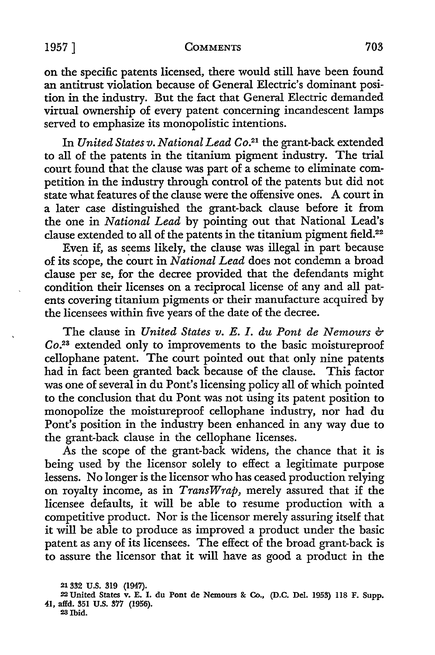**on** the specific patents licensed, there would still have been found an antitrust violation because of General Electric's dominant position in the industry. But the fact that General Electric demanded virtual ownership of every patent concerning incandescent lamps served to emphasize its monopolistic intentions.

In *United States v. National Lead* Co.21 the grant-back extended to all of the patents in the titanium pigment industry. The trial court found that the clause was part of a scheme to eliminate competition in the industry through control of the patents but did not state what features of the clause were the offensive ones. A court in a later case distinguished the grant-back clause before it from the one in *National Lead* by pointing out that National Lead's clause extended to all of the patents in the titanium pigment field.22

Even if, as seems likely, the clause was illegal in part because of its scope, the court in *National Lead* does not condemn a broad clause per se, for the decree provided that the defendants might condition their licenses on a reciprocal license of any and all patents covering titanium pigments or their manufacture acquired by the licensees within five years of the date of the decree.

The clause in *United States v. E. I. du Pont de Nemours b*  Co.23 extended only to improvements to the basic moistureproof cellophane patent. The court pointed out that only nine patents had in fact been granted back because of the clause. This factor was one of several in du Pont's licensing policy all of which pointed to the conclusion that du Pont was not using its patent position to monopolize the moistureproof cellophane industry, nor had du Pont's position in the industry been enhanced in any way due to the grant-back clause in the cellophane licenses.

As the scope of the grant-back widens, the chance that it is being used by the licensor solely to effect a legitimate purpose lessens. No longer is the licensor who has ceased production relying on royalty income, as in *TransWrap*, merely assured that if the licensee defaults, it will be able to resume production with a competitive product. Nor is the licensor merely assuring itself that it will be able to produce as improved a product under the basic patent as any of its licensees. The effect of the broad grant-back is to assure the licensor that it will have as good a product in the

21 332 U.S. 319 (1947).

<sup>22</sup>United States v. E. I. du Pont de Nemours & Co., (D.C. Del. 1953) ll8 F. Supp.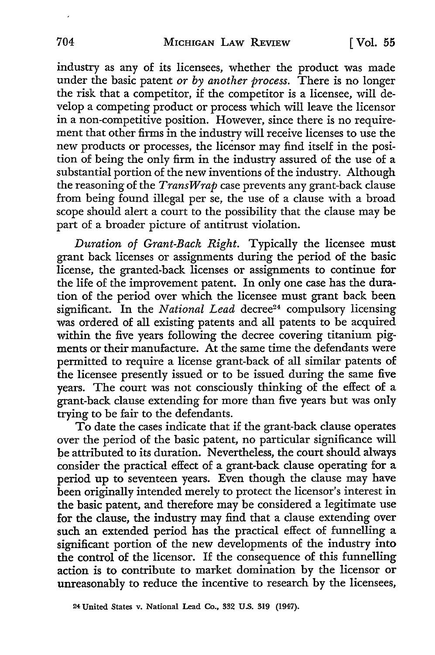industry as any of its licensees, whether the product was made under the basic patent *or* by *another process.* There is no longer the risk that a competitor, if the competitor is a licensee, will develop a competing product or process which will leave the licensor in a non-competitive position. However, since there is no requirement that other firms in the industry will receive licenses to use the new products or processes, the licensor may find itself in the position of being the only firm in the industry assured of the use of a substantial portion of the new inventions of the industry. Although the reasoning of the *Trans Wrap* case prevents any grant-back clause from being found illegal per se, the use of a clause with a broad scope should alert a court to the possibility that the clause may be part of a broader picture of antitrust violation.

*Duration of Grant-Back Right.* Typically the licensee must grant back licenses or assignments during the period of the basic license, the granted-back licenses or assignments to continue for the life of the improvement patent. In only one case has the duration of the period over which the licensee must grant back been significant. In the *National Lead* decree<sup>24</sup> compulsory licensing was ordered of all existing patents and all patents to be acquired within the five years following the decree covering titanium pigments or their manufacture. At the same time the defendants were permitted to require a license grant-back of all similar patents of the licensee presently issued or to be issued during the same five years. The court was not consciously thinking of the effect of a grant-back clause extending for more than five years but was only trying to be fair to the defendants.

To date the cases indicate that if the grant-back clause operates over the period of the basic patent, no particular significance will be attributed to its duration. Nevertheless, the court should always consider the practical effect of a grant-back clause operating for a period up to seventeen years. Even though the clause may have been originally intended merely to protect the licensor's interest in the basic patent, and therefore may be considered a legitimate use for the clause, the industry may find that a clause extending over such an extended period has the practical effect of funnelling a significant portion of the new developments of the industry into the control of the licensor. If the consequence of this funnelling action is to contribute to market domination by the licensor or unreasonably to reduce the incentive to research by the licensees,

2¼ United States v. National Lead Co., 332 U.S. 319 (1947).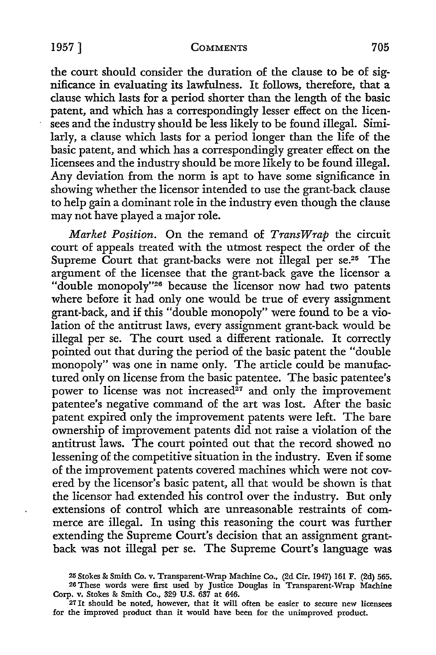the court should consider the duration of the clause to be of significance in evaluating its lawfulness. It follows, therefore, that a clause which lasts for a period shorter than the length of the basic patent, and which has a correspondingly lesser effect on the licensees and the industry should be less likely to be found illegal. Similarly, a clause which lasts for a period longer than the life of the basic patent, and which has a correspondingly greater effect on the licensees and the industry should be more likely to be found illegal. Any deviation from the norm is apt to have some significance in showing whether the licensor intended to use the grant-back clause to help gain a dominant role in the industry even though the clause may not have played a major role.

*Market Position.* On the remand of *TransWrap* the circuit court of appeals treated with the utmost respect the order of the Supreme Court that grant-backs were not illegal per se.<sup>25</sup> The argument of the licensee that the grant-back gave the licensor a "double monopoly"26 because the licensor now had two patents where before it had only one would be true of every assignment grant-back, and if this "double monopoly" were found to be a violation of the antitrust laws, every assignment grant-back would be illegal per se. The court used a different rationale. It correctly pointed out that during the period of the basic patent the "double monopoly" was one in name only. The article could be manufactured only on license from the basic patentee. The basic patentee's power to license was not increased<sup>27</sup> and only the improvement patentee's negative command of the art was lost. After the basic patent expired only the improvement patents were left. The bare ownership of improvement patents did not raise a violation of the antitrust laws. The court pointed out that the record showed no lessening of the competitive situation in the industry. Even if some of the improvement patents covered machines which were not covered by the licensor's basic patent, all that would be shown is that the licensor had extended his control over the industry. But only extensions of control which are unreasonable restraints of commerce are illegal. In using this reasoning the court was further extending the Supreme Court's decision that an assignment grantback was not illegal per se. The Supreme Court's language was

<sup>25</sup> Stokes & Smith Co. v. Transparent-Wrap Machine Co., (2d Cir. 1947) 161 F. (2d) 565. 26These words were first used by Justice Douglas in Transparent-Wrap Machine Corp. v. Stokes & Smith Co., 329 U.S. 637 at 646.

<sup>27</sup> It should be noted, however, that it will often be easier to secure new licensees for the improved product than it would have been for the unimproved product.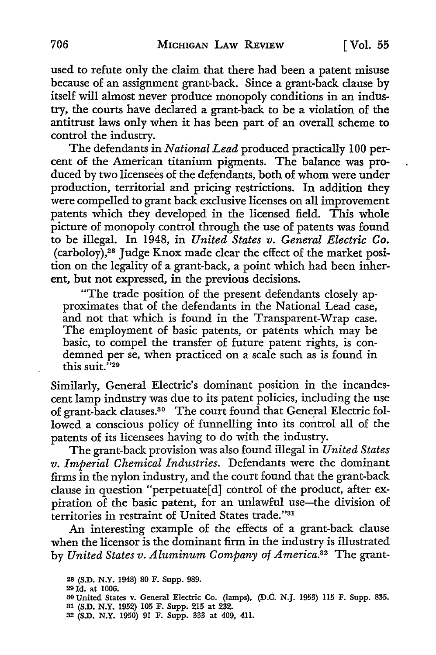used to refute only the claim that there had been a patent misuse because of an assignment grant-back. Since a grant-back clause by itself will almost never produce monopoly conditions in an industry, the courts have declared a grant-back to be a violation of the antitrust laws only when it has been part of an overall scheme to control the industry.

The defendants in *National Lead* produced practically 100 percent of the American titanium pigments. The balance was produced by two licensees of the defendants, both of whom were under production, territorial and pricing restrictions. In addition they were compelled to grant back exclusive licenses on all improvement patents which they developed in the licensed field. This whole picture of monopoly control through the use of patents was found to be illegal. In 1948, in *United States v. General Electric Co.*  (carboloy),28 Judge Knox made clear the effect of the market position on the legality of a grant-back, a point which had been inherent, but not expressed, in the previous decisions.

"The trade position of the present defendants closely approximates that of the defendants in the National Lead case, and not that which is found in the Transparent-Wrap case. The employment of basic patents, or patents which may be basic, to compel the transfer of future patent rights, is condemned per se, when practiced on a scale such as is found in this suit. $^{529}$ 

Similarly, General Electric's dominant position in the incandescent lamp industry was due to its patent policies, including the use of grant-back clauses.<sup>30</sup> The court found that General Electric followed a conscious policy of funnelling into its control all of the patents of its licensees having to do with the industry.

The grant-back provision was also found illegal in *United States v. Imperial Chemical Industries.* Defendants were the dominant firms in the nylon industry, and the court found that the grant-back clause in question "perpetuate[d] control of the product, after expiration of the basic patent, for an unlawful use-the division of territories in restraint of United States trade."31

An interesting example of the effects of a grant-back clause when the licensor is the dominant firm in the industry is illustrated by *United States v. Aluminum Company of America.32* The grant-

- 80 United States v. General Electric Co. (lamps), (D.C. N.J. 1953) 115 F. Supp. 835. 81 (S.D. N.Y. 1952) 105 F. Supp. 215 at 232.
- 82 (S.D. N.Y. 1950) 91 F. Supp. 333 at 409, 4ll.

<sup>2</sup>s (S.D. N.Y. 1948) 80 F. Supp. 989.

<sup>29</sup>Id. at 1006.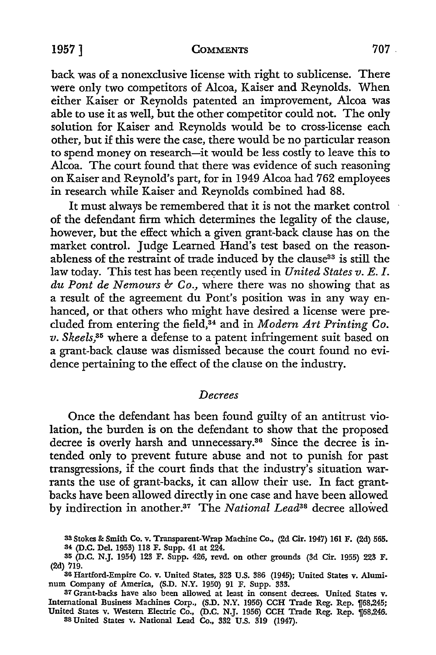back was of a nonexclusive license with right to sublicense. There were only two competitors of Alcoa, Kaiser and Reynolds. When either Kaiser or Reynolds patented an improvement, Alcoa was able to use it as well, but the other competitor could not. The only solution for Kaiser and Reynolds would be to cross-license each other, but if this were the case, there would be no particular reason to spend money on research-it would be less costly to leave this to Alcoa. The court found that there was evidence of such reasoning on Kaiser and Reynold's part, for in 1949 Alcoa had 762 employees in research while Kaiser and Reynolds combined had 88.

It must always be remembered that it is not the market control of the defendant firm which determines the legality of the clause, however, but the effect which a given grant-back clause has on the market control. Judge Learned Hand's test based on the reasonableness of the restraint of trade induced by the clause<sup>33</sup> is still the law today. This test has been recently used in *United States v. E. I. du Pont de Nemours & Co.,* where there was no showing that as a result of the agreement du Pont's position was in any way enhanced, or that others who might have desired a license were precluded from entering the field,34 and in *Modern Art Printing Co. v. Skeels,85* where a defense to a patent infringement suit based on a grant-back clause was dismissed because the court found no evidence pertaining to the effect of the clause on the industry.

#### *Decrees*

Once the defendant has been found guilty of an antitrust violation, the burden is on the defendant to show that the proposed decree is overly harsh and unnecessary.<sup>36</sup> Since the decree is intended only to prevent future abuse and not to punish for past transgressions, if the court finds that the industry's situation warrants the use of grant-backs, it can allow their use. In fact grantbacks have been allowed directly in one case and have been allowed by indirection in another.87 The *National Lead38* decree allowed

<sup>87</sup>Grant-backs have also been allowed at least in consent decrees. United States v. International Business Machines Corp., (S.D. N.Y. 1956) CCH Trade Reg. Rep. [[68,245; United States v. Western Electric Co., (D.C. N.J. 1956) CCH Trade Reg. Rep. f[68,246.

88 United States v. National Lead Co., 332 U.S. 319 (1947).

<sup>88</sup> Stokes & Smith Co. v. Transparent-Wrap Machine Co., (2d Cir. 1947) 161 F. (2d) 565. 84 (D.C. Del. 1953) 118 F. Supp. 41 at 224.

<sup>85 (</sup>D.C. N.J. 1954) 123 F. Supp. 426, revd. on other grounds (3d Cir. 1955) 223 F. (2d) 719.

<sup>86</sup> Hartford-Empire Co. v. United States, 323 U.S. 386 (1945); United States v. Aluminum Company of America, (S.D. N.Y. 1950) 91 F. Supp. 333.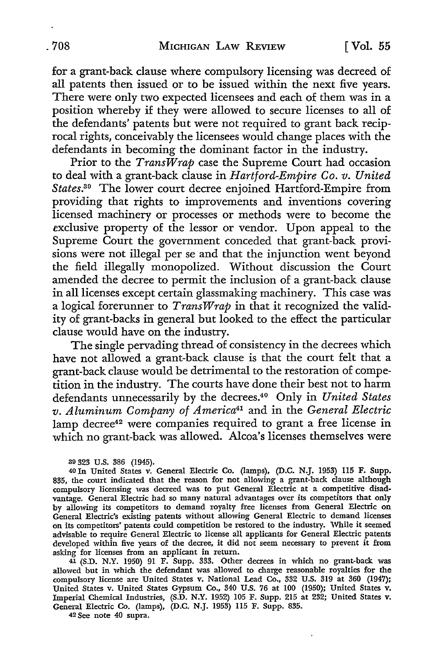for a grant-back clause where compulsory licensing was decreed of all patents then issued or to be issued within the next five years. There were only two expected licensees and each of them was in a position whereby if they were allowed to secure licenses to all of the defendants' patents but were not required to grant back reciprocal rights, conceivably the licensees would change places with the defendants in becoming the dominant factor in the industry.

Prior to the *TransWrap* case the Supreme Court had occasion to deal with a grant-back clause in *Hartford-Empire Co. v. United States.*39 The lower court decree enjoined Hartford-Empire from providing that rights to improvements and inventions covering licensed machinery or processes or methods were to become the exclusive property of the lessor or vendor. Upon appeal to the Supreme Court the government conceded that grant-back provisions were not illegal per se and that the injunction went beyond the field illegally monopolized. Without discussion the Court amended the decree to permit the inclusion of a grant-back clause in all licenses except certain glassmaking machinery. This case was a logical forerunner to *TransWrap* in that it recognized the validity of grant-backs in general but looked to the effect the particular clause would have on the industry.

The single pervading thread of consistency in the decrees which have not allowed a grant-back clause is that the court felt that a grant-back clause would be detrimental to the restoration of competition in the industry. The courts have done their best not to harm defendants unnecessarily by the decrees.40 Only in *United States v. Aluminum Company of America41* and in the *General Electric*  lamp decree<sup>42</sup> were companies required to grant a free license in which no grant-back was allowed. Alcoa's licenses themselves were

39 323 U.S. 386 (1945).

<sup>40</sup>In United States v. General Electric Co. (lamps), (D.C. N.J. 1953) 115 F. Supp. 835, the court indicated that the reason for not allowing a grant-back clause although compulsory licensing was decreed was to put General Electric at a competitive disadvantage. General Electric had so many natural advantages over its competitors that only by allowing its competitors to demand royalty free licenses from General Electric on General Electric's existing patents without allowing General Electric to demand licenses on its competitors' patents could competition be restored to the industry. While it seemed advisable to require General Electric to license all applicants for General Electric patents developed within five years of the decree, it did not seem necessary to prevent it from asking for licenses from an applicant in return.

41 (S.D. N.Y. 1950) 91 F. Supp. 333. Other decrees in which no grant-back was allowed but in which the defendant was allowed to charge reasonable royalties for the compulsory license are United States v. National Lead Co., 332 U.S. 319 at 360 (1947); United States v. United States Gypsum Co., 340 U.S. 76 at 100 (1950); United States v. Imperial Chemical Industries, (S.D. N.Y. 1952) 105 F. Supp. 215 at 232; United States v. General Electric Co. (lamps), (D.C. N.J. 1953) 115 F. Supp. 835.

42 See note 40 supra.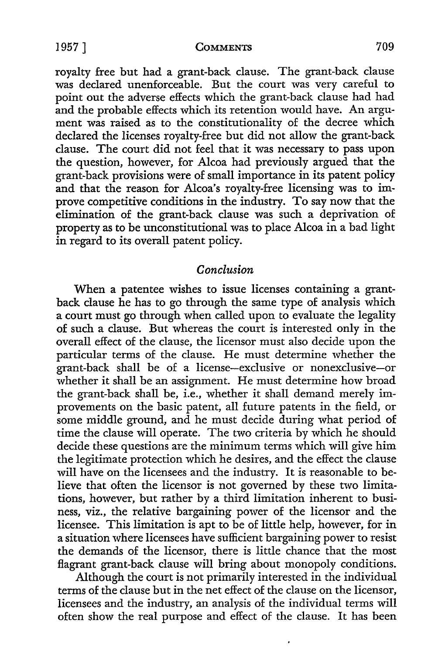royalty free but had a grant-back clause. The grant-back clause was declared unenforceable. But the court was very careful to point out the adverse effects which the grant-back clause had had and the probable effects which its retention would have. An argument was raised as to the constitutionality of the decree which declared the licenses royalty-free but did not allow the grant-back clause. The court did not feel that it was necessary to pass upon the question, however, for Alcoa had previously argued that the grant-back provisions were of small importance in its patent policy and that the reason for Alcoa's royalty-free licensing was to improve competitive conditions in the industry. To say now that the elimination of the grant-back clause was such a deprivation of property as to be unconstitutional was to place Alcoa in a bad light in regard to its overall patent policy.

## *Conclusion*

When a patentee wishes to issue licenses containing a grantback clause he has to go through the same type of analysis which a court must go through when called upon to evaluate the legality of such a clause. But whereas the court is interested only in the overall effect of the clause, the licensor must also decide upon the particular terms of the clause. He must determine whether the grant-back shall be of a license-exclusive or nonexclusive-or whether it shall be an assignment. He must determine how broad the grant-back shall be, i.e., whether it shall demand merely improvements on the basic patent, all future patents in the field, or some middle ground, and he must decide during what period of time the clause will operate. The two criteria by which he should decide these questions are the minimum terms which will give him the legitimate protection which he desires, and the effect the clause will have on the licensees and the industry. It is reasonable to believe that often the licensor is not governed by these two limitations, however, but rather by a third limitation inherent to business, viz., the relative bargaining power of the licensor and the licensee. This limitation is apt to be of little help, however, for in a situation where licensees have sufficient bargaining power to resist the demands of the licensor, there is little chance that the most flagrant grant-back clause will bring about monopoly conditions.

Although the court is not primarily interested in the individual terms of the clause but in the net effect of the clause on the licensor, licensees and the industry, an analysis of the individual terms will often show the real purpose and effect of the clause. It has been